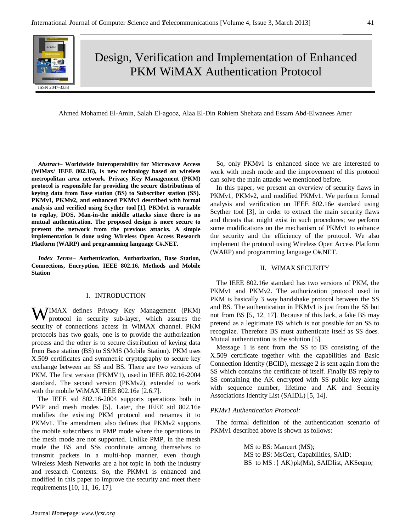

# Design, Verification and Implementation of Enhanced PKM WiMAX Authentication Protocol

Ahmed Mohamed El-Amin, Salah El-agooz, Alaa El-Din Rohiem Shehata and Essam Abd-Elwanees Amer

*Abstract–* **Worldwide Interoperability for Microwave Access (WiMax/ IEEE 802.16), is new technology based on wireless metropolitan area network. Privacy Key Management (PKM) protocol is responsible for providing the secure distributions of keying data from Base station (BS) to Subscriber station (SS). PKMv1, PKMv2, and enhanced PKMv1 described with formal analysis and verified using Scyther tool [1]. PKMv1 is vurnable to replay, DOS, Man-in-the middle attacks since there is no mutual authentication. The proposed design is more secure to prevent the network from the previous attacks. A simple implementation is done using Wireless Open Access Research Platform (WARP) and programming language C#.NET.**

*Index Terms–* **Authentication, Authorization, Base Station, Connections, Encryption, IEEE 802.16, Methods and Mobile Station**

## I. INTRODUCTION

WIMAX defines Privacy Key Management (PKM) protocol in security sub-layer, which assures the protocol in security sub-layer, which assures the security of connections access in WiMAX channel. PKM protocols has two goals, one is to provide the authorization process and the other is to secure distribution of keying data from Base station (BS) to SS/MS (Mobile Station). PKM uses X.509 certificates and symmetric cryptography to secure key exchange between an SS and BS. There are two versions of PKM. The first version (PKMV1), used in IEEE 802.16-2004 standard. The second version (PKMv2), extended to work with the mobile WiMAX IEEE 802.16e [2.6.7].

The IEEE std 802.16-2004 supports operations both in PMP and mesh modes [5]. Later, the IEEE std 802.16e modifies the existing PKM protocol and renames it to PKMv1. The amendment also defines that PKMv2 supports the mobile subscribers in PMP mode where the operations in the mesh mode are not supported. Unlike PMP, in the mesh mode the BS and SSs coordinate among themselves to transmit packets in a multi-hop manner, even though Wireless Mesh Networks are a hot topic in both the industry and research Contexts. So, the PKMv1 is enhanced and modified in this paper to improve the security and meet these requirements [10, 11, 16, 17].

So, only PKMv1 is enhanced since we are interested to work with mesh mode and the improvement of this protocol can solve the main attacks we mentioned before.

In this paper, we present an overview of security flaws in PKMv1, PKMv2, and modified PKMv1. We perform formal analysis and verification on IEEE 802.16e standard using Scyther tool [3], in order to extract the main security flaws and threats that might exist in such procedures; we perform some modifications on the mechanism of PKMv1 to enhance the security and the efficiency of the protocol. We also implement the protocol using Wireless Open Access Platform (WARP) and programming language C#.NET.

### II. WIMAX SECURITY

The IEEE 802.16e standard has two versions of PKM, the PKMv1 and PKMv2. The authorization protocol used in PKM is basically 3 way handshake protocol between the SS and BS. The authentication in PKMv1 is just from the SS but not from BS [5, 12, 17]. Because of this lack, a fake BS may pretend as a legitimate BS which is not possible for an SS to recognize. Therefore BS must authenticate itself as SS does. Mutual authentication is the solution [5].

Message 1 is sent from the SS to BS consisting of the X.509 certificate together with the capabilities and Basic Connection Identity (BCID), message 2 is sent again from the SS which contains the certificate of itself. Finally BS reply to SS containing the AK encrypted with SS public key along with sequence number, lifetime and AK and Security Associations Identity List (SAIDL) [5, 14].

## *PKMv1 Authentication Protocol:*

The formal definition of the authentication scenario of PKMv1 described above is shown as follows:

> MS to BS: Mancert (MS); MS to BS: MsCert, Capabilities, SAID; BS to MS :{ AK}pk(Ms), SAIDlist, AKSeqno*;*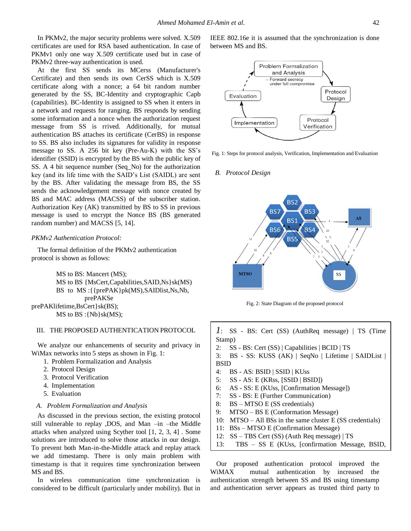In PKMv2, the major security problems were solved. X.509 certificates are used for RSA based authentication. In case of PKMv1 only one way X.509 certificate used but in case of PKMv2 three-way authentication is used.

At the first SS sends its MCerss (Manufacturer's Certificate) and then sends its own CerSS which is X.509 certificate along with a nonce; a 64 bit random number generated by the SS, BC-Identity and cryptographic Capb (capabilities). BC-Identity is assigned to SS when it enters in a network and requests for ranging. BS responds by sending some information and a nonce when the authorization request message from SS is rrived. Additionally, for mutual authentication BS attaches its certificate (CerBS) in response to SS. BS also includes its signatures for validity in response message to SS. A 256 bit key (Pre-Au-K) with the SS's identifier (SSID) is encrypted by the BS with the public key of SS. A 4 bit sequence number (Seq\_No) for the authorization key (and its life time with the SAID's List (SAIDL) are sent by the BS. After validating the message from BS, the SS sends the acknowledgement message with nonce created by BS and MAC address (MACSS) of the subscriber station. Authorization Key (AK) transmitted by BS to SS in previous message is used to encrypt the Nonce BS (BS generated random number) and MACSS [5, 14].

#### *PKMv2 Authentication Protocol:*

The formal definition of the PKMv2 authentication protocol is shown as follows:

 MS to BS: Mancert (MS); MS to BS {MsCert,Capabilities,SAID,Ns}sk(MS) BS to MS :{{prePAK}pk(MS),SAIDlist,Ns,Nb, prePAKSe prePAKlifetime,BsCert}sk(BS); MS to  $BS$  : {Nb}sk(MS);

## III. THE PROPOSED AUTHENTICATION PROTOCOL

We analyze our enhancements of security and privacy in WiMax networks into 5 steps as shown in Fig. 1:

- 1. Problem Formalization and Analysis
- 2. Protocol Design
- 3. Protocol Verification
- 4. Implementation
- 5. Evaluation

#### *A. Problem Formalization and Analysis*

As discussed in the previous section, the existing protocol still vulnerable to replay ,DOS, and Man –in –the Middle attacks when analyzed using Scyther tool [1, 2, 3, 4] . Some solutions are introduced to solve those attacks in our design. To prevent both Man-in-the-Middle attack and replay attack we add timestamp. There is only main problem with timestamp is that it requires time synchronization between MS and BS.

In wireless communication time synchronization is considered to be difficult (particularly under mobility). But in IEEE 802.16e it is assumed that the synchronization is done between MS and BS.



Fig. 1: Steps for protocol analysis, Verification, Implementation and Evaluation

#### *B. Protocol Design*



Fig. 2: State Diagram of the proposed protocol

|             | $I: SS - BS: Cert (SS) (AuthReq message)   TS (Time$ |  |  |  |  |
|-------------|------------------------------------------------------|--|--|--|--|
| Stamp)      |                                                      |  |  |  |  |
| 2:          | $SS - BS$ : Cert $(SS)$   Capabilities   BCID   TS   |  |  |  |  |
|             | 3: BS - SS: KUSS (AK)   SeqNo   Lifetime   SAIDList  |  |  |  |  |
| <b>BSID</b> |                                                      |  |  |  |  |
| 4:          | BS - AS: BSID   SSID   KUss                          |  |  |  |  |
| 5:          | $SS - AS$ : E (KRss, [SSID   BSID])                  |  |  |  |  |
| 6:          | AS - SS: E (KUss, [Confirmation Message])            |  |  |  |  |
| 7:          | SS - BS: E (Further Communication)                   |  |  |  |  |
|             | 8: BS - MTSO E (SS credentials)                      |  |  |  |  |

9: MTSO – BS E (Conformation Message)

ASID])

- 10: MTSO All BSs in the same cluster E (SS credentials)
- 11: BSs MTSO E (Confirmation Message)
- 12: SS TBS Cert (SS) (Auth Req message) | TS
- 13: TBS SS E (KUss, [confirmation Message, BSID,

Our proposed authentication protocol improved the WiMAX mutual authentication by increased the authentication strength between SS and BS using timestamp and authentication server appears as trusted third party to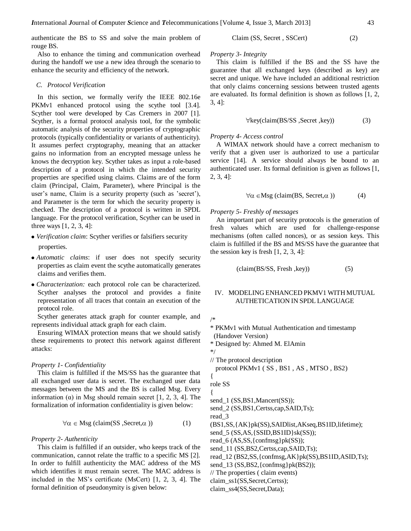authenticate the BS to SS and solve the main problem of rouge BS.

Also to enhance the timing and communication overhead during the handoff we use a new idea through the scenario to enhance the security and efficiency of the network.

## *C. Protocol Verification*

In this section, we formally verify the IEEE 802.16e PKMv1 enhanced protocol using the scythe tool [3.4]. Scyther tool were developed by Cas Cremers in 2007 [1]. Scyther, is a formal protocol analysis tool, for the symbolic automatic analysis of the security properties of cryptographic protocols (typically confidentiality or variants of authenticity). It assumes perfect cryptography, meaning that an attacker gains no information from an encrypted message unless he knows the decryption key. Scyther takes as input a role-based description of a protocol in which the intended security properties are specified using claims. Claims are of the form claim (Principal, Claim, Parameter), where Principal is the user's name, Claim is a security property (such as 'secret'), and Parameter is the term for which the security property is checked. The description of a protocol is written in SPDL language. For the protocol verification, Scyther can be used in three ways [1, 2, 3, 4]:

- *Verification claim*: Scyther verifies or falsifiers security properties.
- *Automatic claims*: if user does not specify security properties as claim event the scythe automatically generates claims and verifies them.
- *Characterization:* each protocol role can be characterized. Scyther analyses the protocol and provides a finite representation of all traces that contain an execution of the protocol role.

Scyther generates attack graph for counter example, and represents individual attack graph for each claim.

Ensuring WIMAX protection means that we should satisfy these requirements to protect this network against different attacks:

## *Property 1- Confidentiality*

This claim is fulfilled if the MS/SS has the guarantee that all exchanged user data is secret. The exchanged user data messages between the MS and the BS is called Msg. Every information (α) in Msg should remain secret [1, 2, 3, 4]. The formalization of information confidentiality is given below:

$$
\forall \alpha \in \text{Msg} \text{ (claim}(SS, Secret, \alpha)) \tag{1}
$$

# *Property 2- Authenticity*

This claim is fulfilled if an outsider, who keeps track of the communication, cannot relate the traffic to a specific MS [2]. In order to fulfill authenticity the MAC address of the MS which identifies it must remain secret. The MAC address is included in the MS's certificate (MsCert) [1, 2, 3, 4]. The formal definition of pseudonymity is given below:

Claim (SS, Secret , SSCert) (2)

### *Property 3- Integrity*

This claim is fulfilled if the BS and the SS have the guarantee that all exchanged keys (described as key) are secret and unique. We have included an additional restriction that only claims concerning sessions between trusted agents are evaluated. Its formal definition is shown as follows [1, 2, 3, 4]:

$$
\forall \text{key}(\text{claim}(\text{BS/SS}, \text{Secret}, \text{key})) \tag{3}
$$

# *Property 4- Access control*

A WIMAX network should have a correct mechanism to verify that a given user is authorized to use a particular service [14]. A service should always be bound to an authenticated user. Its formal definition is given as follows [1, 2, 3, 4]:

$$
\forall \alpha \in \text{Msg} \text{ (claim(BS, Secret, }\alpha \text{ ))} \tag{4}
$$

#### *Property 5- Freshly of messages*

An important part of security protocols is the generation of fresh values which are used for challenge-response mechanisms (often called nonces), or as session keys. This claim is fulfilled if the BS and MS/SS have the guarantee that the session key is fresh  $[1, 2, 3, 4]$ :

$$
(claim(BS/SS, Fresh, key))
$$
 (5)

# IV. MODELING ENHANCED PKMV1 WITH MUTUAL AUTHETICATION IN SPDL LANGUAGE

/\*

- \* PKMv1 with Mutual Authentication and timestamp (Handover Version)
- \* Designed by: Ahmed M. ElAmin

\*/

// The protocol description

protocol PKMv1 ( SS , BS1 , AS , MTSO , BS2)

role SS

{

{

send<sup>1</sup> (SS,BS1,Mancert(SS));

send\_2 (SS,BS1,Certss,cap,SAID,Ts);

read\_3

(BS1,SS,{AK}pk(SS),SAIDlist,AKseq,BS1ID,lifetime);

send\_5 (SS,AS,{SSID,BS1ID}sk(SS));

read\_6 (AS,SS,{confmsg}pk(SS));

send\_11 (SS,BS2,Certss,cap,SAID,Ts);

read\_12 (BS2,SS,{confmsg,AK}pk(SS),BS1ID,ASID,Ts);

send\_13 (SS,BS2,{confmsg}pk(BS2));

// The properties ( claim events)

claim\_ss1(SS,Secret,Certss);

claim\_ss4(SS,Secret,Data);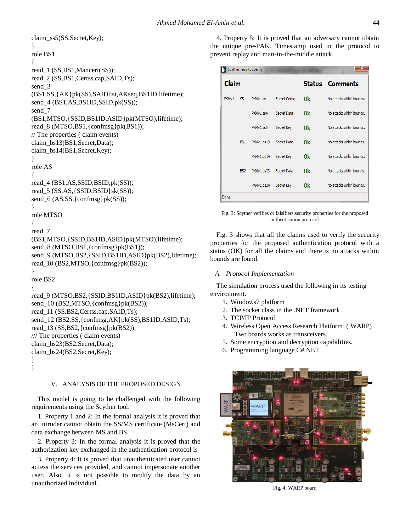```
claim_ss5(SS,Secret,Key);
}
role BS1 
{
read_1 (SS,BS1,Mancert(SS));
read 2 (SS,BS1,Certss,cap,SAID,Ts);
send 3
(BS1,SS,{AK}pk(SS),SAIDlist,AKseq,BS1ID,lifetime);
send_4 (BS1,AS,BS1ID,SSID,pk(SS));
send 7
(BS1,MTSO,{SSID,BS1ID,ASID}pk(MTSO),lifetime);
read_8 (MTSO,BS1,{confmsg}pk(BS1));
// The properties ( claim events)
claim_bs13(BS1,Secret,Data);
claim_bs14(BS1,Secret,Key);
}
role AS
{
read_4 (BS1,AS,SSID,BSID,pk(SS));
read_5 (SS,AS,{SSID,BSID}sk(SS));
send_6 (AS,SS,{confmsg}pk(SS));
}
role MTSO
{
read_7 
(BS1,MTSO,{SSID,BS1ID,ASID}pk(MTSO),lifetime);
send_8 (MTSO,BS1,{confmsg}pk(BS1));
send_9 (MTSO,BS2, {SSID,BS1ID,ASID}pk(BS2),lifetime);
read 10 (BS2,MTSO,{confmsg}pk(BS2));
}
role BS2
{
read_9 (MTSO,BS2,{SSID,BS1ID,ASID}pk(BS2),lifetime);
send_10 (BS2,MTSO,{confmsg}pk(BS2));
read 11 (SS,BS2,Certss,cap,SAID,Ts);
send_12 (BS2,SS,{confmsg,AK}pk(SS),BS1ID,ASID,Ts);
read_13 (SS,BS2,{confmsg}pk(BS2));
/// The properties ( claim events)
claim_bs23(BS2,Secret,Data);
claim_bs24(BS2,Secret,Key);
} 
}
```
# V. ANALYSIS OF THE PROPOSED DESIGN

This model is going to be challenged with the following requirements using the Scyther tool.

1. Property 1 and 2: In the formal analysis it is proved that an intruder cannot obtain the SS/MS certificate (MsCert) and data exchange between MS and BS.

2. Property 3: In the formal analysis it is proved that the authorization key exchanged in the authentication protocol is

3. Property 4: It is proved that unauthenticated user cannot access the services provided, and cannot impersonate another user. Also, it is not possible to modify the data by an unauthorized individual.

4. Property 5: It is proved that an adversary cannot obtain the unique pre-PAK. Timestamp used in the protocol to prevent replay and man-in-the-middle attack.

| Scyther results : verify |                 |            |                      |    |                           |  |  |
|--------------------------|-----------------|------------|----------------------|----|---------------------------|--|--|
| Claim                    |                 |            |                      |    | <b>Status</b> Comments    |  |  |
| PKM <sub>v1</sub>        | SS              | PKMv1,ss1  | <b>Secret Certss</b> | 0k | No attacks within bounds. |  |  |
|                          |                 | PKMv1,ss4  | Secret Data          | 0k | No attacks within bounds. |  |  |
|                          |                 | PKMv1,ss5  | Secret Key           | 0k | No attacks within bounds. |  |  |
|                          | BS <sub>1</sub> | PKMv1,bs13 | Secret Data          | 0k | No attacks within bounds. |  |  |
|                          |                 | PKMv1,bs14 | Secret Key           | Ok | No attacks within bounds. |  |  |
|                          | BS2             | PKMv1,bs23 | Secret Data          | 0k | No attacks within bounds. |  |  |
|                          |                 | PKMv1,bs24 | Secret Key           | 0k | No attacks within bounds. |  |  |
| Done.                    |                 |            |                      |    |                           |  |  |

Fig. 3: Scyther verifies or falsifiers security properties for the proposed authentication protocol

Fig. 3 shows that all the claims used to verify the security properties for the proposed authentication protocol with a status (OK) for all the claims and there is no attacks within bounds are found.

# *A. Protocol Implementation*

The simulation process used the following in its testing environment.

- 1. Windows7 platform
- 2. The socket class in the .NET framework
- 3. TCP/IP Protocol
- 4. Wireless Open Access Research Platform ( WARP) Two boards works as transceivers.
- 5. Some encryption and decryption capabilities.
- 6. Programming language C#.NET



Fig. 4: WARP board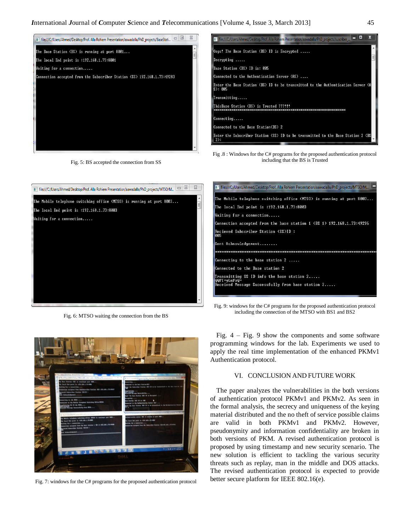

Fig. 5: BS accepted the connection from SS



Fig .8 : Windows for the C# programs for the proposed authentication protocol including that the BS is Trusted



Fig. 6: MTSO waiting the connection from the BS



Fig. 7: windows for the C# programs for the proposed authentication protocol

| The:///C:/Users/Ahmed/Desktop/Prof. Alla Rohiem Presentation/aawadalla/PhD_projects/MTSO/M                       |  |  |  |  |  |
|------------------------------------------------------------------------------------------------------------------|--|--|--|--|--|
| The Mobile telephone switching office (MTSO) is running at port 8003                                             |  |  |  |  |  |
| The local End point is :192.168.1.73:8003                                                                        |  |  |  |  |  |
| Waiting for a connection                                                                                         |  |  |  |  |  |
| Connection accepted from the base station 1 (BS 1) 192.168.1.73:49296                                            |  |  |  |  |  |
| Recieved Subscriber Station (SS)ID :<br>1005                                                                     |  |  |  |  |  |
| Sent Acknowledgement                                                                                             |  |  |  |  |  |
|                                                                                                                  |  |  |  |  |  |
| Connecting to the base station 2 $\ldots$ .                                                                      |  |  |  |  |  |
| Connected to the Base station 2                                                                                  |  |  |  |  |  |
| Transmitting SS ID info the base station 2<br> QQPT+vLuFaQ=<br>Received Message Successfully from base station 2 |  |  |  |  |  |
|                                                                                                                  |  |  |  |  |  |

Fig. 9: windows for the C# programs for the proposed authentication protocol including the connection of the MTSO with BS1 and BS2

Fig.  $4 - Fig. 9$  show the components and some software programming windows for the lab. Experiments we used to apply the real time implementation of the enhanced PKMv1 Authentication protocol.

# VI. CONCLUSION AND FUTURE WORK

The paper analyzes the vulnerabilities in the both versions of authentication protocol PKMv1 and PKMv2. As seen in the formal analysis, the secrecy and uniqueness of the keying material distributed and the no theft of service possible claims are valid in both PKMv1 and PKMv2. However, pseudonymity and information confidentiality are broken in both versions of PKM. A revised authentication protocol is proposed by using timestamp and new security scenario. The new solution is efficient to tackling the various security threats such as replay, man in the middle and DOS attacks. The revised authentication protocol is expected to provide better secure platform for IEEE 802.16(e).